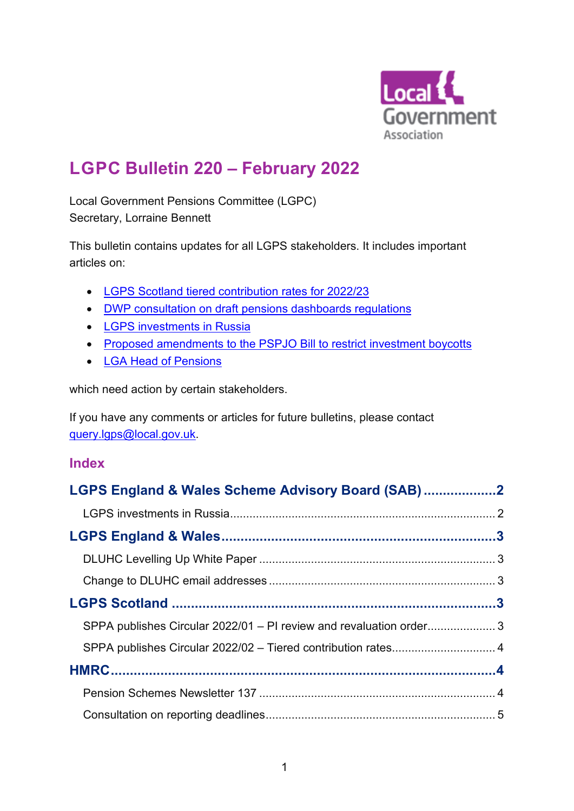

# **LGPC Bulletin 220 – February 2022**

Local Government Pensions Committee (LGPC) Secretary, Lorraine Bennett

This bulletin contains updates for all LGPS stakeholders. It includes important articles on:

- [LGPS Scotland tiered contribution rates for 2022/23](#page-3-0)
- [DWP consultation on draft pensions dashboards regulations](#page-5-0)
- [LGPS investments in Russia](#page-1-0)
- [Proposed amendments to the PSPJO Bill to restrict investment boycotts](#page-9-0)
- [LGA Head of Pensions](#page-8-0)

which need action by certain stakeholders.

If you have any comments or articles for future bulletins, please contact [query.lgps@local.gov.uk.](mailto:query.lgps@local.gov.uk)

## **Index**

| LGPS England & Wales Scheme Advisory Board (SAB)2                   |  |
|---------------------------------------------------------------------|--|
|                                                                     |  |
|                                                                     |  |
|                                                                     |  |
|                                                                     |  |
|                                                                     |  |
| SPPA publishes Circular 2022/01 - PI review and revaluation order 3 |  |
| SPPA publishes Circular 2022/02 - Tiered contribution rates 4       |  |
|                                                                     |  |
|                                                                     |  |
|                                                                     |  |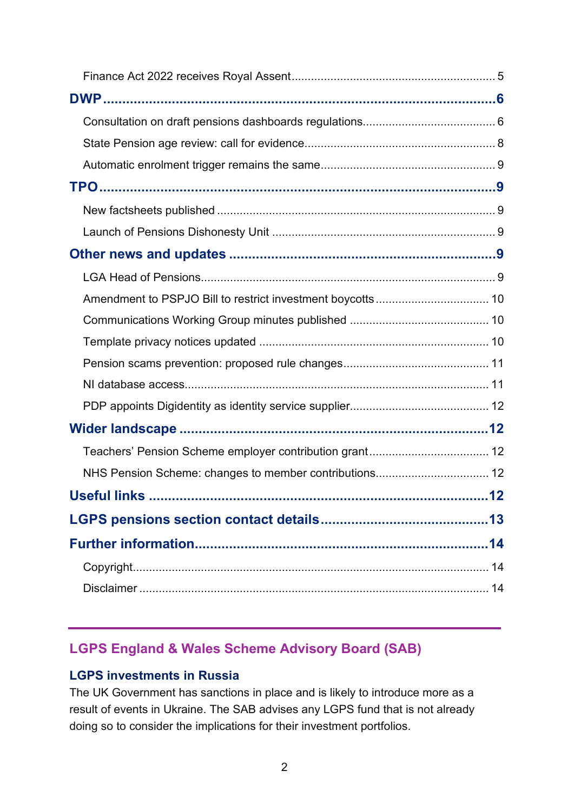| .12 |
|-----|
|     |
|     |
|     |
|     |
|     |

# <span id="page-1-1"></span>**LGPS England & Wales Scheme Advisory Board (SAB)**

## <span id="page-1-0"></span>**LGPS investments in Russia**

The UK Government has sanctions in place and is likely to introduce more as a result of events in Ukraine. The SAB advises any LGPS fund that is not already doing so to consider the implications for their investment portfolios.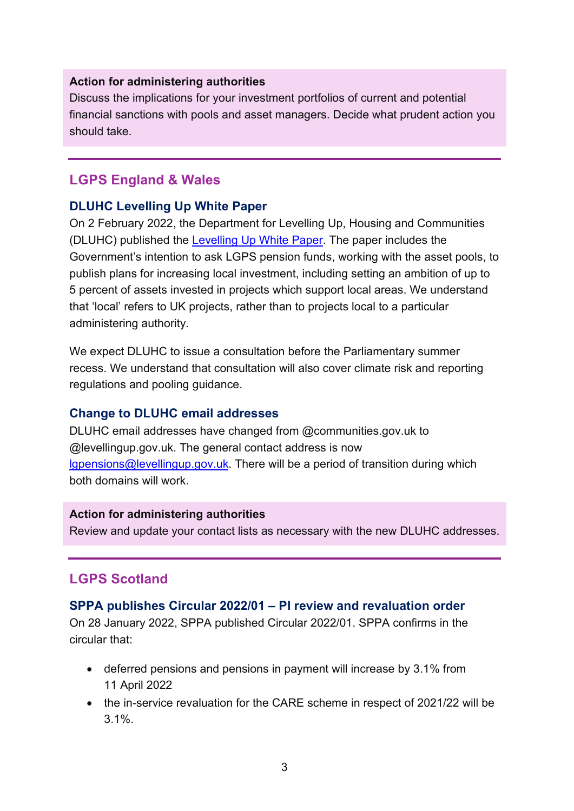#### **Action for administering authorities**

Discuss the implications for your investment portfolios of current and potential financial sanctions with pools and asset managers. Decide what prudent action you should take.

# <span id="page-2-0"></span>**LGPS England & Wales**

### <span id="page-2-1"></span>**DLUHC Levelling Up White Paper**

On 2 February 2022, the Department for Levelling Up, Housing and Communities (DLUHC) published the [Levelling Up White Paper.](https://www.gov.uk/government/publications/levelling-up-the-united-kingdom) The paper includes the Government's intention to ask LGPS pension funds, working with the asset pools, to publish plans for increasing local investment, including setting an ambition of up to 5 percent of assets invested in projects which support local areas. We understand that 'local' refers to UK projects, rather than to projects local to a particular administering authority.

We expect DLUHC to issue a consultation before the Parliamentary summer recess. We understand that consultation will also cover climate risk and reporting regulations and pooling guidance.

#### <span id="page-2-2"></span>**Change to DLUHC email addresses**

DLUHC email addresses have changed from @communities.gov.uk to @levellingup.gov.uk. The general contact address is now [lgpensions@levellingup.gov.uk.](mailto:lgpensions@levellingup.gov.uk) There will be a period of transition during which both domains will work.

#### **Action for administering authorities**

Review and update your contact lists as necessary with the new DLUHC addresses.

# <span id="page-2-3"></span>**LGPS Scotland**

#### <span id="page-2-4"></span>**SPPA publishes Circular 2022/01 – PI review and revaluation order**

On 28 January 2022, SPPA published Circular 2022/01. SPPA confirms in the circular that:

- deferred pensions and pensions in payment will increase by 3.1% from 11 April 2022
- the in-service revaluation for the CARE scheme in respect of 2021/22 will be 3.1%.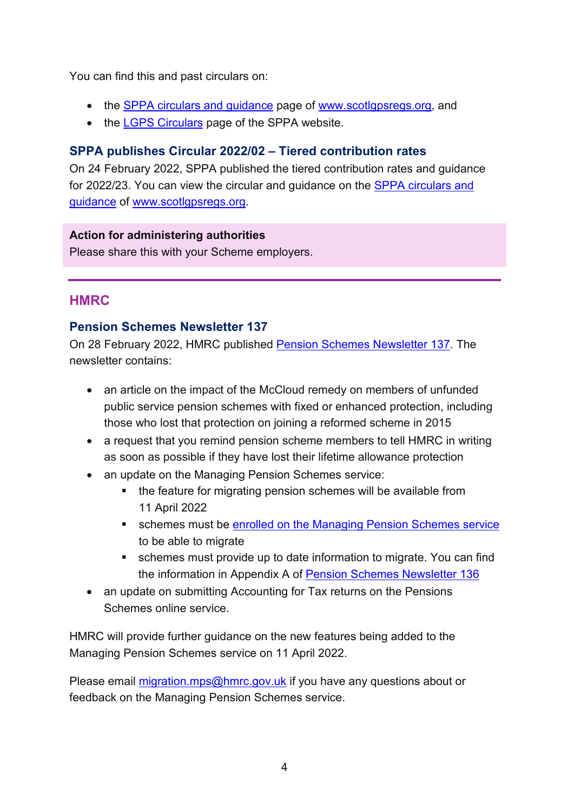You can find this and past circulars on:

- the [SPPA circulars and guidance](https://www.scotlgpsregs.org/landscape/sppacirc.php) page of [www.scotlgpsregs.org,](http://www.scotlgosregs.org/) and
- the [LGPS Circulars](https://pensions.gov.scot/local-government/scheme-governance-and-legislation/circulars) page of the SPPA website.

## <span id="page-3-0"></span>**SPPA publishes Circular 2022/02 – Tiered contribution rates**

On 24 February 2022, SPPA published the tiered contribution rates and guidance for 2022/23. You can view the circular and guidance on the SPPA circulars and guidance of [www.scotlgpsregs.org.](http://www.scotlgpsregs.org/)

#### **Action for administering authorities**

Please share this with your Scheme employers.

# <span id="page-3-1"></span>**HMRC**

## <span id="page-3-2"></span>**Pension Schemes Newsletter 137**

On 28 February 2022, HMRC published [Pension Schemes Newsletter 137.](https://www.gov.uk/government/publications/pension-schemes-newsletter-137-february-2022/pension-schemes-newsletter-137-february-2022) The newsletter contains:

- an article on the impact of the McCloud remedy on members of unfunded public service pension schemes with fixed or enhanced protection, including those who lost that protection on joining a reformed scheme in 2015
- a request that you remind pension scheme members to tell HMRC in writing as soon as possible if they have lost their lifetime allowance protection
- an update on the Managing Pension Schemes service:
	- the feature for migrating pension schemes will be available from 11 April 2022
	- **Example 3 schemes must be [enrolled on the Managing Pension Schemes service](https://www.gov.uk/guidance/migrating-your-pension-scheme-to-the-managing-pension-schemes-service#enrolling-on-the-managing-pension-schemes-service)** to be able to migrate
	- schemes must provide up to date information to migrate. You can find the information in Appendix A of [Pension Schemes Newsletter 136](https://www.gov.uk/government/publications/pension-schemes-newsletter-136-january-2022)
- an update on submitting Accounting for Tax returns on the Pensions Schemes online service.

HMRC will provide further guidance on the new features being added to the Managing Pension Schemes service on 11 April 2022.

Please email [migration.mps@hmrc.gov.uk](mailto:migration.mps@hmrc.gov.uk) if you have any questions about or feedback on the Managing Pension Schemes service.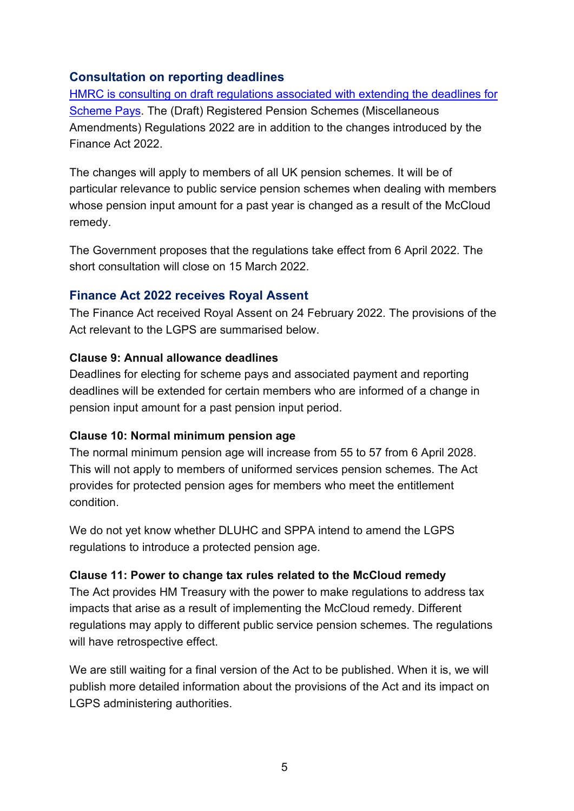# <span id="page-4-0"></span>**Consultation on reporting deadlines**

[HMRC is consulting on draft regulations associated with extending the deadlines for](https://www.gov.uk/government/consultations/draft-legislation-the-registered-pension-schemes-miscellaneous-amendments-regulations-2022)  [Scheme Pays.](https://www.gov.uk/government/consultations/draft-legislation-the-registered-pension-schemes-miscellaneous-amendments-regulations-2022) The (Draft) Registered Pension Schemes (Miscellaneous Amendments) Regulations 2022 are in addition to the changes introduced by the Finance Act 2022.

The changes will apply to members of all UK pension schemes. It will be of particular relevance to public service pension schemes when dealing with members whose pension input amount for a past year is changed as a result of the McCloud remedy.

The Government proposes that the regulations take effect from 6 April 2022. The short consultation will close on 15 March 2022.

# <span id="page-4-1"></span>**Finance Act 2022 receives Royal Assent**

The Finance Act received Royal Assent on 24 February 2022. The provisions of the Act relevant to the LGPS are summarised below.

#### **Clause 9: Annual allowance deadlines**

Deadlines for electing for scheme pays and associated payment and reporting deadlines will be extended for certain members who are informed of a change in pension input amount for a past pension input period.

#### **Clause 10: Normal minimum pension age**

The normal minimum pension age will increase from 55 to 57 from 6 April 2028. This will not apply to members of uniformed services pension schemes. The Act provides for protected pension ages for members who meet the entitlement condition.

We do not yet know whether DLUHC and SPPA intend to amend the LGPS regulations to introduce a protected pension age.

#### **Clause 11: Power to change tax rules related to the McCloud remedy**

The Act provides HM Treasury with the power to make regulations to address tax impacts that arise as a result of implementing the McCloud remedy. Different regulations may apply to different public service pension schemes. The regulations will have retrospective effect.

We are still waiting for a final version of the Act to be published. When it is, we will publish more detailed information about the provisions of the Act and its impact on LGPS administering authorities.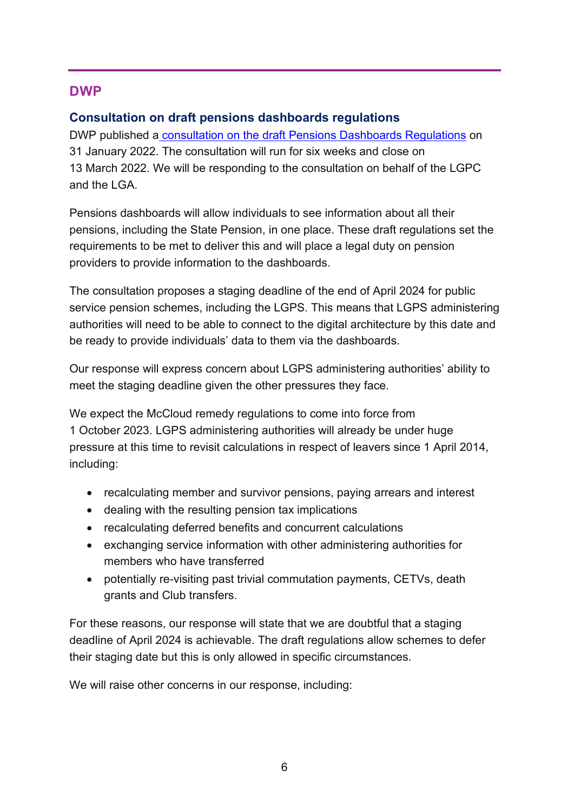# <span id="page-5-1"></span>**DWP**

## <span id="page-5-0"></span>**Consultation on draft pensions dashboards regulations**

DWP published a [consultation on the draft Pensions Dashboards Regulations](https://www.gov.uk/government/consultations/pensions-dashboards-consultation-on-the-draft-pensions-dashboards-regulations-2022) on 31 January 2022. The consultation will run for six weeks and close on 13 March 2022. We will be responding to the consultation on behalf of the LGPC and the LGA.

Pensions dashboards will allow individuals to see information about all their pensions, including the State Pension, in one place. These draft regulations set the requirements to be met to deliver this and will place a legal duty on pension providers to provide information to the dashboards.

The consultation proposes a staging deadline of the end of April 2024 for public service pension schemes, including the LGPS. This means that LGPS administering authorities will need to be able to connect to the digital architecture by this date and be ready to provide individuals' data to them via the dashboards.

Our response will express concern about LGPS administering authorities' ability to meet the staging deadline given the other pressures they face.

We expect the McCloud remedy regulations to come into force from 1 October 2023. LGPS administering authorities will already be under huge pressure at this time to revisit calculations in respect of leavers since 1 April 2014, including:

- recalculating member and survivor pensions, paying arrears and interest
- dealing with the resulting pension tax implications
- recalculating deferred benefits and concurrent calculations
- exchanging service information with other administering authorities for members who have transferred
- potentially re-visiting past trivial commutation payments, CETVs, death grants and Club transfers.

For these reasons, our response will state that we are doubtful that a staging deadline of April 2024 is achievable. The draft regulations allow schemes to defer their staging date but this is only allowed in specific circumstances.

We will raise other concerns in our response, including: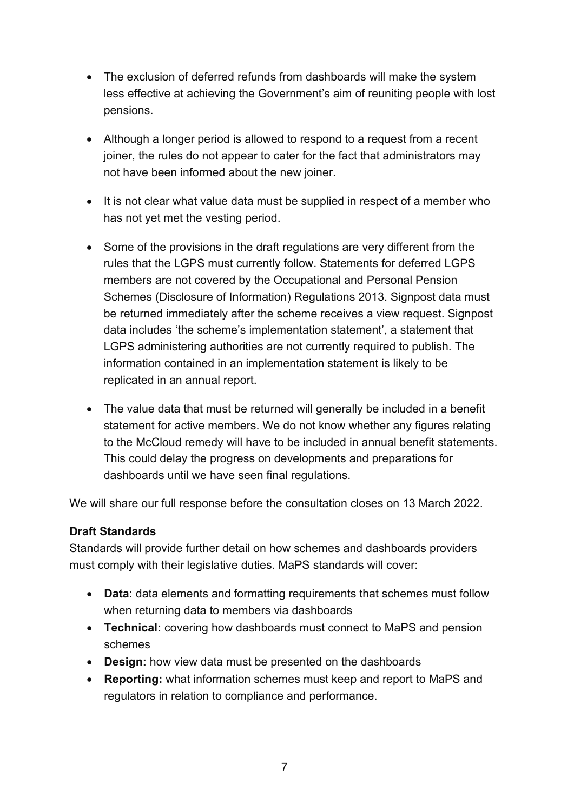- The exclusion of deferred refunds from dashboards will make the system less effective at achieving the Government's aim of reuniting people with lost pensions.
- Although a longer period is allowed to respond to a request from a recent joiner, the rules do not appear to cater for the fact that administrators may not have been informed about the new joiner.
- It is not clear what value data must be supplied in respect of a member who has not yet met the vesting period.
- Some of the provisions in the draft regulations are very different from the rules that the LGPS must currently follow. Statements for deferred LGPS members are not covered by the Occupational and Personal Pension Schemes (Disclosure of Information) Regulations 2013. Signpost data must be returned immediately after the scheme receives a view request. Signpost data includes 'the scheme's implementation statement', a statement that LGPS administering authorities are not currently required to publish. The information contained in an implementation statement is likely to be replicated in an annual report.
- The value data that must be returned will generally be included in a benefit statement for active members. We do not know whether any figures relating to the McCloud remedy will have to be included in annual benefit statements. This could delay the progress on developments and preparations for dashboards until we have seen final regulations.

We will share our full response before the consultation closes on 13 March 2022.

#### **Draft Standards**

Standards will provide further detail on how schemes and dashboards providers must comply with their legislative duties. MaPS standards will cover:

- **Data**: data elements and formatting requirements that schemes must follow when returning data to members via dashboards
- **Technical:** covering how dashboards must connect to MaPS and pension schemes
- **Design:** how view data must be presented on the dashboards
- **Reporting:** what information schemes must keep and report to MaPS and regulators in relation to compliance and performance.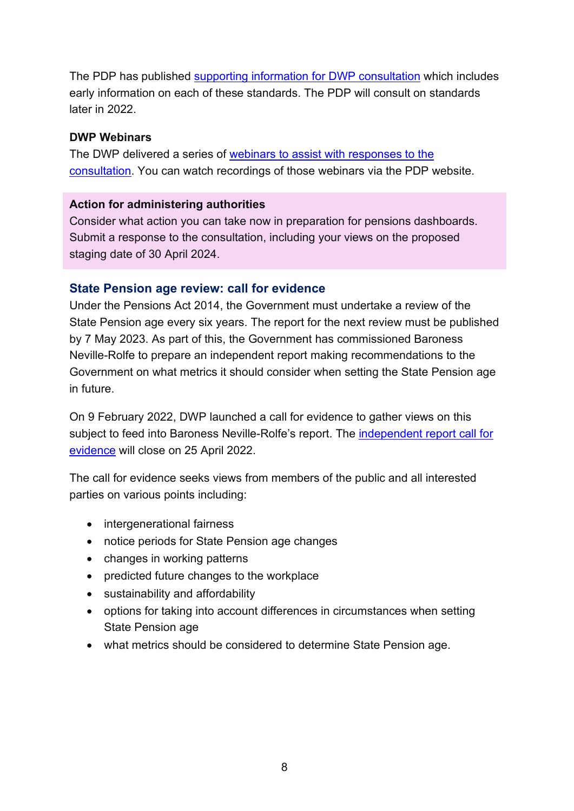The PDP has published [supporting information for DWP consultation](https://www.pensionsdashboardsprogramme.org.uk/info-consultation-standards/) which includes early information on each of these standards. The PDP will consult on standards later in 2022.

#### **DWP Webinars**

The DWP delivered a series of [webinars to assist with responses to the](https://www.pensionsdashboardsprogramme.org.uk/info-consultation-standards/#webinars)  [consultation.](https://www.pensionsdashboardsprogramme.org.uk/info-consultation-standards/#webinars) You can watch recordings of those webinars via the PDP website.

#### **Action for administering authorities**

Consider what action you can take now in preparation for pensions dashboards. Submit a response to the consultation, including your views on the proposed staging date of 30 April 2024.

### <span id="page-7-0"></span>**State Pension age review: call for evidence**

Under the Pensions Act 2014, the Government must undertake a review of the State Pension age every six years. The report for the next review must be published by 7 May 2023. As part of this, the Government has commissioned Baroness Neville-Rolfe to prepare an independent report making recommendations to the Government on what metrics it should consider when setting the State Pension age in future.

On 9 February 2022, DWP launched a call for evidence to gather views on this subject to feed into Baroness Neville-Rolfe's report. The [independent report call for](https://www.gov.uk/government/consultations/second-state-pension-age-review-independent-report-call-for-evidence/second-state-pension-age-review-independent-report-call-for-evidence)  [evidence](https://www.gov.uk/government/consultations/second-state-pension-age-review-independent-report-call-for-evidence/second-state-pension-age-review-independent-report-call-for-evidence) will close on 25 April 2022.

The call for evidence seeks views from members of the public and all interested parties on various points including:

- intergenerational fairness
- notice periods for State Pension age changes
- changes in working patterns
- predicted future changes to the workplace
- sustainability and affordability
- options for taking into account differences in circumstances when setting State Pension age
- what metrics should be considered to determine State Pension age.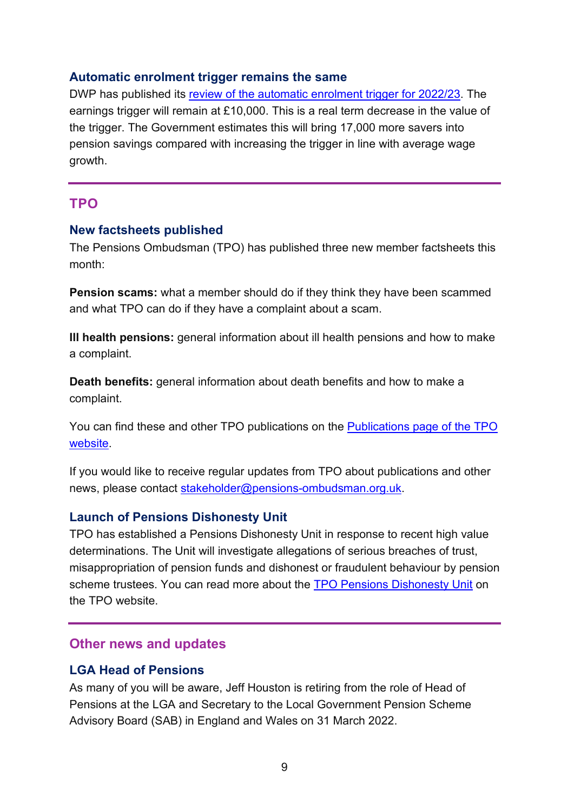### <span id="page-8-1"></span>**Automatic enrolment trigger remains the same**

DWP has published its [review of the automatic enrolment trigger for 2022/23.](https://www.gov.uk/government/publications/automatic-enrolment-review-of-the-earnings-trigger-and-qualifying-earnings-band-for-202223) The earnings trigger will remain at £10,000. This is a real term decrease in the value of the trigger. The Government estimates this will bring 17,000 more savers into pension savings compared with increasing the trigger in line with average wage growth.

# <span id="page-8-2"></span>**TPO**

#### <span id="page-8-3"></span>**New factsheets published**

The Pensions Ombudsman (TPO) has published three new member factsheets this month:

**Pension scams:** what a member should do if they think they have been scammed and what TPO can do if they have a complaint about a scam.

**Ill health pensions:** general information about ill health pensions and how to make a complaint.

**Death benefits:** general information about death benefits and how to make a complaint.

You can find these and other TPO publications on the [Publications page of the TPO](https://www.pensions-ombudsman.org.uk/our-publications)  [website.](https://www.pensions-ombudsman.org.uk/our-publications)

If you would like to receive regular updates from TPO about publications and other news, please contact [stakeholder@pensions-ombudsman.org.uk.](mailto:stakeholder@pensions-ombudsman.org.uk)

#### <span id="page-8-4"></span>**Launch of Pensions Dishonesty Unit**

TPO has established a Pensions Dishonesty Unit in response to recent high value determinations. The Unit will investigate allegations of serious breaches of trust, misappropriation of pension funds and dishonest or fraudulent behaviour by pension scheme trustees. You can read more about the [TPO Pensions Dishonesty Unit](https://www.pensions-ombudsman.org.uk/news-item/tpo-launches-pensions-dishonesty-unit) on the TPO website.

#### <span id="page-8-5"></span>**Other news and updates**

#### <span id="page-8-0"></span>**LGA Head of Pensions**

As many of you will be aware, Jeff Houston is retiring from the role of Head of Pensions at the LGA and Secretary to the Local Government Pension Scheme Advisory Board (SAB) in England and Wales on 31 March 2022.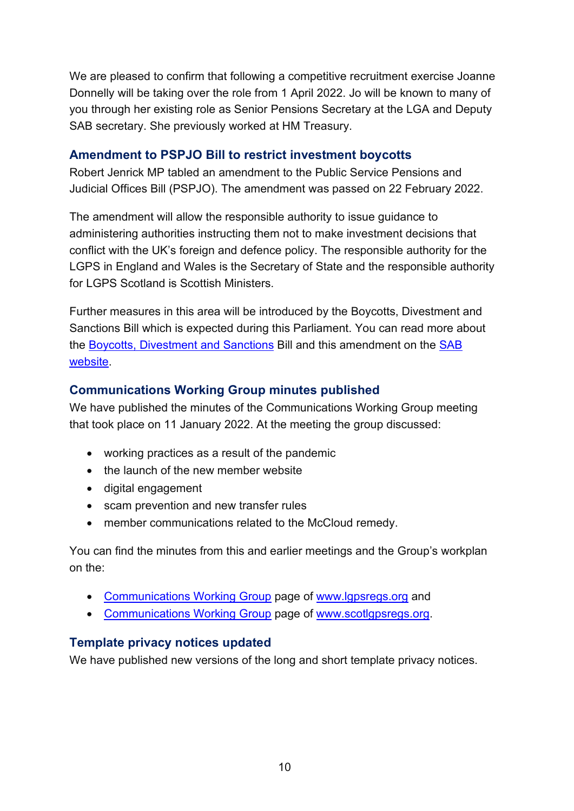We are pleased to confirm that following a competitive recruitment exercise Joanne Donnelly will be taking over the role from 1 April 2022. Jo will be known to many of you through her existing role as Senior Pensions Secretary at the LGA and Deputy SAB secretary. She previously worked at HM Treasury.

## <span id="page-9-0"></span>**Amendment to PSPJO Bill to restrict investment boycotts**

Robert Jenrick MP tabled an amendment to the Public Service Pensions and Judicial Offices Bill (PSPJO). The amendment was passed on 22 February 2022.

The amendment will allow the responsible authority to issue guidance to administering authorities instructing them not to make investment decisions that conflict with the UK's foreign and defence policy. The responsible authority for the LGPS in England and Wales is the Secretary of State and the responsible authority for LGPS Scotland is Scottish Ministers.

Further measures in this area will be introduced by the Boycotts, Divestment and Sanctions Bill which is expected during this Parliament. You can read more about the [Boycotts, Divestment and Sanctions](https://www.lgpsboard.org/index.php/structure-reform/bds-main) Bill and this amendment on the [SAB](https://www.lgpsboard.org/)  [website.](https://www.lgpsboard.org/)

# <span id="page-9-1"></span>**Communications Working Group minutes published**

We have published the minutes of the Communications Working Group meeting that took place on 11 January 2022. At the meeting the group discussed:

- working practices as a result of the pandemic
- the launch of the new member website
- digital engagement
- scam prevention and new transfer rules
- member communications related to the McCloud remedy.

You can find the minutes from this and earlier meetings and the Group's workplan on the:

- [Communications Working Group](https://www.lgpsregs.org/bulletinsetc/cwgminutes.php) page of [www.lgpsregs.org](http://www.lgpsregs.org/) and
- [Communications Working Group](https://scotlgpsregs.org/bulletinsetc/cwgminutes.php) page of [www.scotlgpsregs.org.](http://www.scotlgpsregs.org/)

## <span id="page-9-2"></span>**Template privacy notices updated**

We have published new versions of the long and short template privacy notices.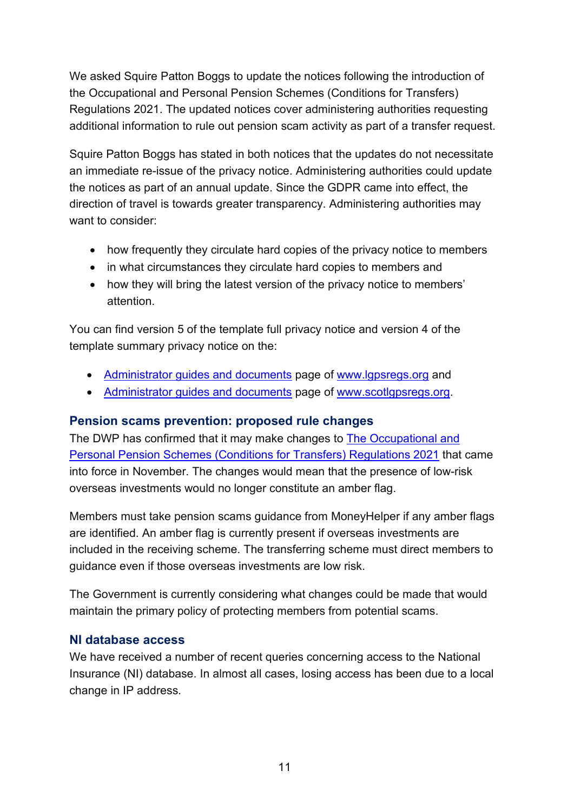We asked Squire Patton Boggs to update the notices following the introduction of the Occupational and Personal Pension Schemes (Conditions for Transfers) Regulations 2021. The updated notices cover administering authorities requesting additional information to rule out pension scam activity as part of a transfer request.

Squire Patton Boggs has stated in both notices that the updates do not necessitate an immediate re-issue of the privacy notice. Administering authorities could update the notices as part of an annual update. Since the GDPR came into effect, the direction of travel is towards greater transparency. Administering authorities may want to consider:

- how frequently they circulate hard copies of the privacy notice to members
- in what circumstances they circulate hard copies to members and
- how they will bring the latest version of the privacy notice to members' attention.

You can find version 5 of the template full privacy notice and version 4 of the template summary privacy notice on the:

- [Administrator guides and documents](https://www.lgpsregs.org/resources/guidesetc.php) page of [www.lgpsregs.org](http://www.lgpsregs.org/) and
- [Administrator guides and documents](https://scotlgpsregs.org/resources/guidesetc.php) page of [www.scotlgpsregs.org.](http://www.scotlgpsregs.org/)

#### <span id="page-10-0"></span>**Pension scams prevention: proposed rule changes**

The DWP has confirmed that it may make changes to [The Occupational and](https://www.legislation.gov.uk/uksi/2021/1237/contents/made)  [Personal Pension Schemes \(Conditions for Transfers\) Regulations 2021](https://www.legislation.gov.uk/uksi/2021/1237/contents/made) that came into force in November. The changes would mean that the presence of low-risk overseas investments would no longer constitute an amber flag.

Members must take pension scams guidance from MoneyHelper if any amber flags are identified. An amber flag is currently present if overseas investments are included in the receiving scheme. The transferring scheme must direct members to guidance even if those overseas investments are low risk.

The Government is currently considering what changes could be made that would maintain the primary policy of protecting members from potential scams.

## <span id="page-10-1"></span>**NI database access**

We have received a number of recent queries concerning access to the National Insurance (NI) database. In almost all cases, losing access has been due to a local change in IP address.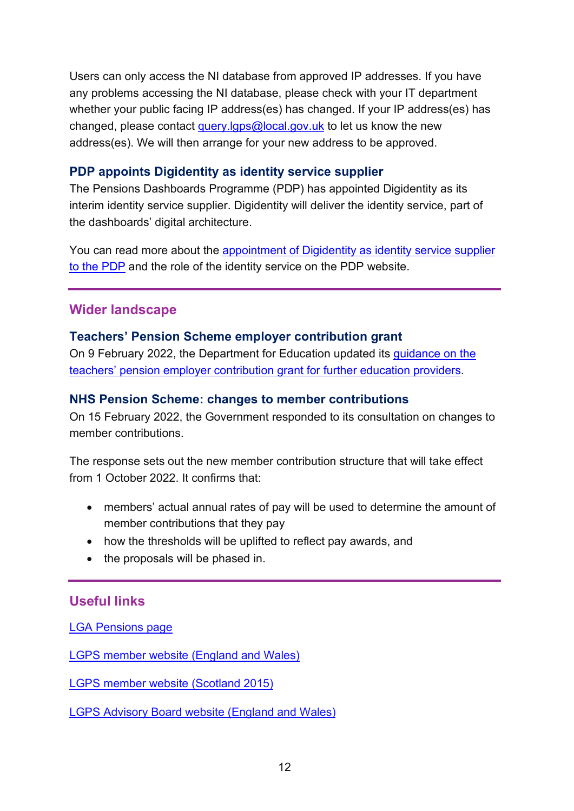Users can only access the NI database from approved IP addresses. If you have any problems accessing the NI database, please check with your IT department whether your public facing IP address(es) has changed. If your IP address(es) has changed, please contact query.  $\log_2$  ocal.gov.uk to let us know the new address(es). We will then arrange for your new address to be approved.

## <span id="page-11-0"></span>**PDP appoints Digidentity as identity service supplier**

The Pensions Dashboards Programme (PDP) has appointed Digidentity as its interim identity service supplier. Digidentity will deliver the identity service, part of the dashboards' digital architecture.

You can read more about the [appointment of Digidentity as identity service supplier](https://www.pensionsdashboardsprogramme.org.uk/2022/02/07/pdp-appoints-digidentity-identity-service-supplier/)  [to the PDP](https://www.pensionsdashboardsprogramme.org.uk/2022/02/07/pdp-appoints-digidentity-identity-service-supplier/) and the role of the identity service on the PDP website.

# <span id="page-11-1"></span>**Wider landscape**

## <span id="page-11-2"></span>**Teachers' Pension Scheme employer contribution grant**

On 9 February 2022, the Department for Education updated its [guidance on the](https://www.gov.uk/government/publications/teachers-pension-scheme-employer-contribution-grant-further-education-providers)  [teachers' pension employer contribution grant for further education providers.](https://www.gov.uk/government/publications/teachers-pension-scheme-employer-contribution-grant-further-education-providers)

## <span id="page-11-3"></span>**NHS Pension Scheme: changes to member contributions**

On 15 February 2022, the Government responded to its consultation on changes to member contributions.

The response sets out the new member contribution structure that will take effect from 1 October 2022. It confirms that:

- members' actual annual rates of pay will be used to determine the amount of member contributions that they pay
- how the thresholds will be uplifted to reflect pay awards, and
- the proposals will be phased in.

# <span id="page-11-4"></span>**Useful links**

[LGA Pensions page](https://local.gov.uk/our-support/workforce-and-hr-support/local-government-pensions)

[LGPS member website \(England and Wales\)](https://www.lgpsmember.org/)

[LGPS member website \(Scotland 2015\)](http://www.scotlgps2015.org/)

[LGPS Advisory Board website \(England and Wales\)](http://www.lgpsboard.org/)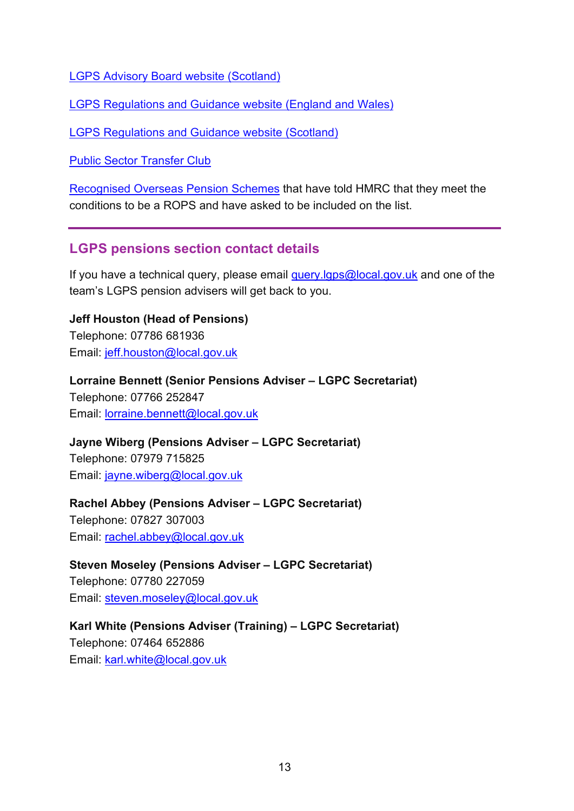[LGPS Advisory Board website \(Scotland\)](http://lgpsab.scot/)

[LGPS Regulations and Guidance website \(England and Wales\)](http://www.lgpsregs.org/)

[LGPS Regulations and Guidance website \(Scotland\)](http://www.scotlgpsregs.org/)

[Public Sector Transfer Club](http://www.civilservicepensionscheme.org.uk/members/public-sector-transfer-club/)

[Recognised Overseas Pension Schemes](http://www.hmrc.gov.uk/pensionschemes/qrops-list.htm) that have told HMRC that they meet the conditions to be a ROPS and have asked to be included on the list.

# <span id="page-12-0"></span>**LGPS pensions section contact details**

If you have a technical query, please email [query.lgps@local.gov.uk](mailto:query.lgps@local.gov.uk) and one of the team's LGPS pension advisers will get back to you.

**Jeff Houston (Head of Pensions)** Telephone: 07786 681936 Email: [jeff.houston@local.gov.uk](mailto:jeff.houston@local.gov.uk)

**Lorraine Bennett (Senior Pensions Adviser – LGPC Secretariat)** Telephone: 07766 252847 Email: [lorraine.bennett@local.gov.uk](mailto:lorraine.bennett@local.gov.uk)

**Jayne Wiberg (Pensions Adviser – LGPC Secretariat)** Telephone: 07979 715825 Email: [jayne.wiberg@local.gov.uk](mailto:jayne.wiberg@local.gov.uk)

## **Rachel Abbey (Pensions Adviser – LGPC Secretariat)**

Telephone: 07827 307003 Email: [rachel.abbey@local.gov.uk](mailto:rachel.abbey@local.gov.uk)

**Steven Moseley (Pensions Adviser – LGPC Secretariat)** Telephone: 07780 227059 Email: [steven.moseley@local.gov.uk](mailto:steven.moseley@local.gov.uk)

**Karl White (Pensions Adviser (Training) – LGPC Secretariat)** Telephone: 07464 652886 Email: [karl.white@local.gov.uk](mailto:karl.white@local.gov.uk)